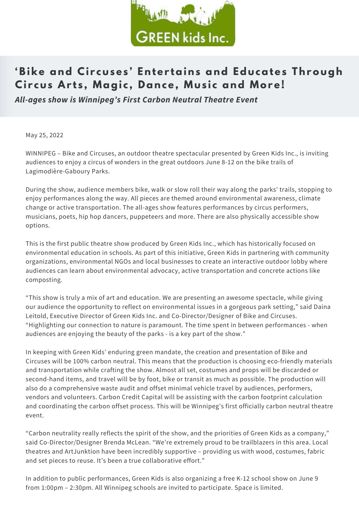

## **'Bike and Ci r cuses ' Enter tains and Educates Through Ci r cus Ar t s , Magi c , D ance, Mus i c and More!**

*All-ages show is Winnipeg's First Carbon Neutral Theatre Event*

May 25, 2022

WINNIPEG – Bike and Circuses, an outdoor theatre spectacular presented by Green Kids Inc., is inviting audiences to enjoy a circus of wonders in the great outdoors June 8-12 on the bike trails of Lagimodière-Gaboury Parks.

During the show, audience members bike, walk or slow roll their way along the parks' trails, stopping to enjoy performances along the way. All pieces are themed around environmental awareness, climate change or active transportation. The all-ages show features performances by circus performers, musicians, poets, hip hop dancers, puppeteers and more. There are also physically accessible show options.

This is the first public theatre show produced by Green Kids Inc., which has historically focused on environmental education in schools. As part of this initiative, Green Kids in partnering with community organizations, environmental NGOs and local businesses to create an interactive outdoor lobby where audiences can learn about environmental advocacy, active transportation and concrete actions like composting.

"This show is truly a mix of art and education. We are presenting an awesome spectacle, while giving our audience the opportunity to reflect on environmental issues in a gorgeous park setting," said Daina Leitold, Executive Director of Green Kids Inc. and Co-Director/Designer of Bike and Circuses. "Highlighting our connection to nature is paramount. The time spent in between performances - when audiences are enjoying the beauty of the parks - is a key part of the show."

In keeping with Green Kids' enduring green mandate, the creation and presentation of Bike and Circuses will be 100% carbon neutral. This means that the production is choosing eco-friendly materials and transportation while crafting the show. Almost all set, costumes and props will be discarded or second-hand items, and travel will be by foot, bike or transit as much as possible. The production will also do a comprehensive waste audit and offset minimal vehicle travel by audiences, performers, vendors and volunteers. Carbon Credit Capital will be assisting with the carbon footprint calculation and coordinating the carbon offset process. This will be Winnipeg's first officially carbon neutral theatre event.

"Carbon neutrality really reflects the spirit of the show, and the priorities of Green Kids as a company," said Co-Director/Designer Brenda McLean. "We're extremely proud to be trailblazers in this area. Local theatres and ArtJunktion have been incredibly supportive – providing us with wood, costumes, fabric and set pieces to reuse. It's been a true collaborative effort."

In addition to public performances, Green Kids is also organizing a free K-12 school show on June 9 from 1:00pm – 2:30pm. All Winnipeg schools are invited to participate. Space is limited.